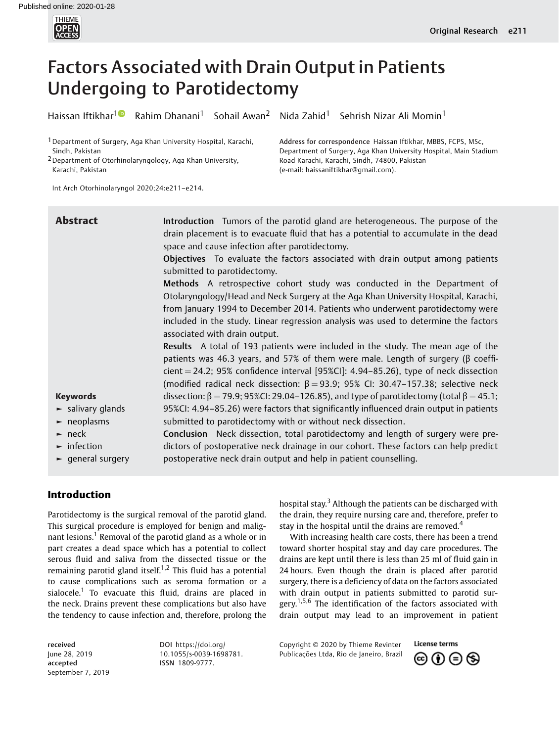

# Factors Associated with Drain Output in Patients Undergoing to Parotidectomy

Haissan Iftikhar<sup>[1](https://orcid.org/0000-0003-3266-4015)</sup> Rahim Dhanani<sup>1</sup> Sohail Awan<sup>2</sup> Nida Zahid<sup>1</sup> Sehrish Nizar Ali Momin<sup>1</sup>

Road Karachi, Karachi, Sindh, 74800, Pakistan (e-mail: [haissaniftikhar@gmail.com\)](mailto:haissaniftikhar@gmail.com).

Address for correspondence Haissan Iftikhar, MBBS, FCPS, MSc, Department of Surgery, Aga Khan University Hospital, Main Stadium

<sup>1</sup> Department of Surgery, Aga Khan University Hospital, Karachi, Sindh, Pakistan

2Department of Otorhinolaryngology, Aga Khan University, Karachi, Pakistan

Int Arch Otorhinolaryngol 2020;24:e211–e214.

| <b>Abstract</b>                                                                                                                                                                                       | Introduction Tumors of the parotid gland are heterogeneous. The purpose of the<br>drain placement is to evacuate fluid that has a potential to accumulate in the dead<br>space and cause infection after parotidectomy.                                                                                                                                                                                                                                                                                    |
|-------------------------------------------------------------------------------------------------------------------------------------------------------------------------------------------------------|------------------------------------------------------------------------------------------------------------------------------------------------------------------------------------------------------------------------------------------------------------------------------------------------------------------------------------------------------------------------------------------------------------------------------------------------------------------------------------------------------------|
|                                                                                                                                                                                                       | Objectives To evaluate the factors associated with drain output among patients<br>submitted to parotidectomy.                                                                                                                                                                                                                                                                                                                                                                                              |
|                                                                                                                                                                                                       | Methods A retrospective cohort study was conducted in the Department of<br>Otolaryngology/Head and Neck Surgery at the Aga Khan University Hospital, Karachi,<br>from January 1994 to December 2014. Patients who underwent parotidectomy were<br>included in the study. Linear regression analysis was used to determine the factors<br>associated with drain output.                                                                                                                                     |
|                                                                                                                                                                                                       | Results A total of 193 patients were included in the study. The mean age of the<br>patients was 46.3 years, and 57% of them were male. Length of surgery (β coeffi-<br>cient $=$ 24.2; 95% confidence interval [95%CI]: 4.94–85.26), type of neck dissection<br>(modified radical neck dissection: $\beta = 93.9$ ; 95% CI: 30.47-157.38; selective neck                                                                                                                                                   |
| <b>Keywords</b><br>$\blacktriangleright$ salivary glands<br>$\blacktriangleright$ neoplasms<br>$\blacktriangleright$ neck<br>$\blacktriangleright$ infection<br>$\blacktriangleright$ general surgery | dissection: $\beta$ = 79.9; 95%CI: 29.04-126.85), and type of parotidectomy (total $\beta$ = 45.1;<br>95%CI: 4.94-85.26) were factors that significantly influenced drain output in patients<br>submitted to parotidectomy with or without neck dissection.<br>Conclusion Neck dissection, total parotidectomy and length of surgery were pre-<br>dictors of postoperative neck drainage in our cohort. These factors can help predict<br>postoperative neck drain output and help in patient counselling. |

## Introduction

Parotidectomy is the surgical removal of the parotid gland. This surgical procedure is employed for benign and malignant lesions.<sup>1</sup> Removal of the parotid gland as a whole or in part creates a dead space which has a potential to collect serous fluid and saliva from the dissected tissue or the remaining parotid gland itself.<sup>1,2</sup> This fluid has a potential to cause complications such as seroma formation or a sialocele.<sup>1</sup> To evacuate this fluid, drains are placed in the neck. Drains prevent these complications but also have the tendency to cause infection and, therefore, prolong the

hospital stay.<sup>3</sup> Although the patients can be discharged with the drain, they require nursing care and, therefore, prefer to stay in the hospital until the drains are removed.<sup>4</sup>

With increasing health care costs, there has been a trend toward shorter hospital stay and day care procedures. The drains are kept until there is less than 25 ml of fluid gain in 24 hours. Even though the drain is placed after parotid surgery, there is a deficiency of data on the factors associated with drain output in patients submitted to parotid surgery.<sup>1,5,6</sup> The identification of the factors associated with drain output may lead to an improvement in patient

received June 28, 2019 accepted September 7, 2019 DOI [https://doi.org/](https://doi.org/10.1055/s-0039-1698781) [10.1055/s-0039-1698781](https://doi.org/10.1055/s-0039-1698781). ISSN 1809-9777.

Copyright © 2020 by Thieme Revinter Publicações Ltda, Rio de Janeiro, Brazil

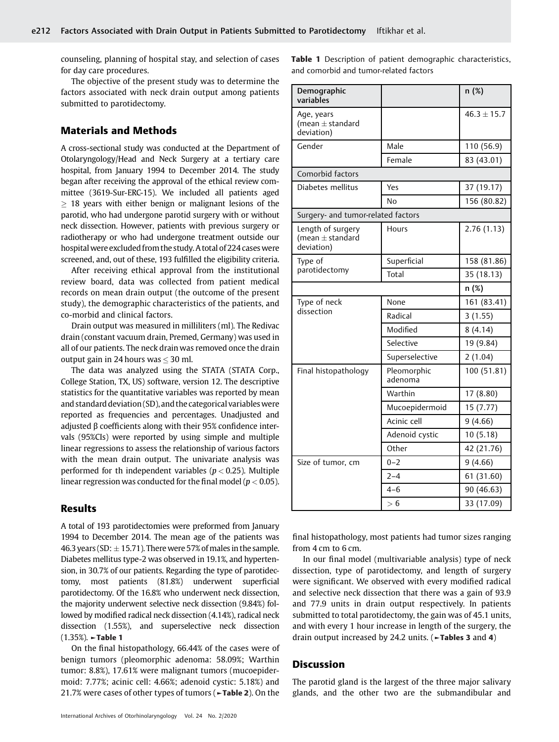counseling, planning of hospital stay, and selection of cases for day care procedures.

The objective of the present study was to determine the factors associated with neck drain output among patients submitted to parotidectomy.

## Materials and Methods

A cross-sectional study was conducted at the Department of Otolaryngology/Head and Neck Surgery at a tertiary care hospital, from January 1994 to December 2014. The study began after receiving the approval of the ethical review committee (3619-Sur-ERC-15). We included all patients aged  $\geq$  18 years with either benign or malignant lesions of the parotid, who had undergone parotid surgery with or without neck dissection. However, patients with previous surgery or radiotherapy or who had undergone treatment outside our hospital were excluded from the study. A total of 224 cases were screened, and, out of these, 193 fulfilled the eligibility criteria.

After receiving ethical approval from the institutional review board, data was collected from patient medical records on mean drain output (the outcome of the present study), the demographic characteristics of the patients, and co-morbid and clinical factors.

Drain output was measured in milliliters (ml). The Redivac drain (constant vacuum drain, Premed, Germany) was used in all of our patients. The neck drain was removed once the drain output gain in 24 hours was  $\leq$  30 ml.

The data was analyzed using the STATA (STATA Corp., College Station, TX, US) software, version 12. The descriptive statistics for the quantitative variables was reported by mean and standard deviation (SD), and the categorical variables were reported as frequencies and percentages. Unadjusted and adjusted β coefficients along with their 95% confidence intervals (95%CIs) were reported by using simple and multiple linear regressions to assess the relationship of various factors with the mean drain output. The univariate analysis was performed for th independent variables ( $p < 0.25$ ). Multiple linear regression was conducted for the final model ( $p < 0.05$ ).

### Results

A total of 193 parotidectomies were preformed from January 1994 to December 2014. The mean age of the patients was 46.3 years (SD:  $\pm$  15.71). There were 57% of males in the sample. Diabetes mellitus type-2 was observed in 19.1%, and hypertension, in 30.7% of our patients. Regarding the type of parotidectomy, most patients (81.8%) underwent superficial parotidectomy. Of the 16.8% who underwent neck dissection, the majority underwent selective neck dissection (9.84%) followed by modified radical neck dissection (4.14%), radical neck dissection (1.55%), and superselective neck dissection (1.35%). ►Table 1

On the final histopathology, 66.44% of the cases were of benign tumors (pleomorphic adenoma: 58.09%; Warthin tumor: 8.8%), 17.61% were malignant tumors (mucoepidermoid: 7.77%; acinic cell: 4.66%; adenoid cystic: 5.18%) and 21.7% were cases of other types of tumors (►Table 2). On the

Table 1 Description of patient demographic characteristics, and comorbid and tumor-related factors

| Demographic<br>variables                                |                        | n(%)            |  |
|---------------------------------------------------------|------------------------|-----------------|--|
| Age, years<br>(mean $\pm$ standard<br>deviation)        |                        | $46.3 \pm 15.7$ |  |
| Gender                                                  | Male                   | 110 (56.9)      |  |
|                                                         | Female                 | 83 (43.01)      |  |
| Comorbid factors                                        |                        |                 |  |
| Diabetes mellitus                                       | Yes                    | 37 (19.17)      |  |
|                                                         | No                     | 156 (80.82)     |  |
| Surgery- and tumor-related factors                      |                        |                 |  |
| Length of surgery<br>(mean $\pm$ standard<br>deviation) | Hours                  | 2.76(1.13)      |  |
| Type of                                                 | Superficial            | 158 (81.86)     |  |
| parotidectomy                                           | Total                  | 35 (18.13)      |  |
|                                                         |                        | n (%)           |  |
| Type of neck                                            | None                   | 161 (83.41)     |  |
| dissection                                              | Radical                | 3(1.55)         |  |
|                                                         | Modified               | 8(4.14)         |  |
|                                                         | Selective              | 19 (9.84)       |  |
|                                                         | Superselective         | 2(1.04)         |  |
| Final histopathology                                    | Pleomorphic<br>adenoma | 100 (51.81)     |  |
|                                                         | Warthin                | 17 (8.80)       |  |
|                                                         | Mucoepidermoid         | 15 (7.77)       |  |
|                                                         | Acinic cell            | 9(4.66)         |  |
|                                                         | Adenoid cystic         | 10(5.18)        |  |
|                                                         | Other                  | 42 (21.76)      |  |
| Size of tumor, cm                                       | $0 - 2$                | 9(4.66)         |  |
|                                                         | $2 - 4$                | 61 (31.60)      |  |
|                                                         | 4–6                    | 90 (46.63)      |  |
|                                                         | > 6                    | 33 (17.09)      |  |

final histopathology, most patients had tumor sizes ranging from 4 cm to 6 cm.

In our final model (multivariable analysis) type of neck dissection, type of parotidectomy, and length of surgery were significant. We observed with every modified radical and selective neck dissection that there was a gain of 93.9 and 77.9 units in drain output respectively. In patients submitted to total parotidectomy, the gain was of 45.1 units, and with every 1 hour increase in length of the surgery, the drain output increased by 24.2 units. ( $\blacktriangleright$ Tables 3 and 4)

#### **Discussion**

The parotid gland is the largest of the three major salivary glands, and the other two are the submandibular and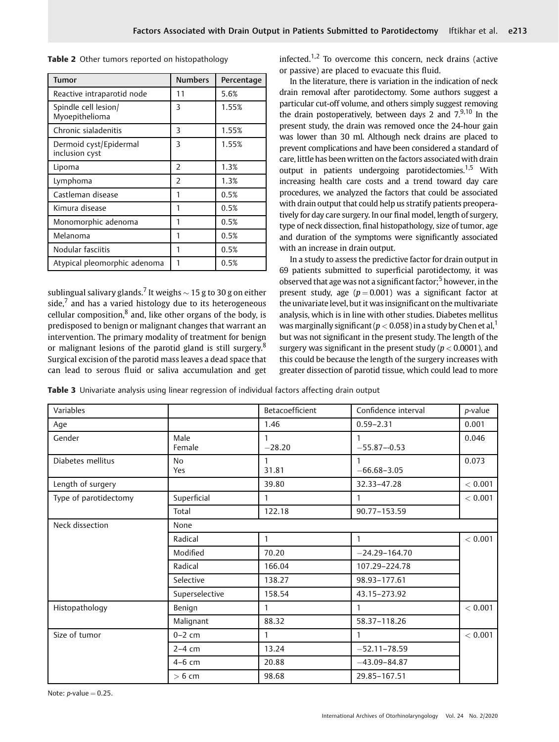|  |  |  |  | Table 2 Other tumors reported on histopathology |
|--|--|--|--|-------------------------------------------------|
|--|--|--|--|-------------------------------------------------|

| Tumor                                    | <b>Numbers</b> | Percentage |
|------------------------------------------|----------------|------------|
| Reactive intraparotid node               | 11             | 5.6%       |
| Spindle cell lesion/<br>Myoepithelioma   | 3              | 1.55%      |
| Chronic sialadenitis                     | 3              | 1.55%      |
| Dermoid cyst/Epidermal<br>inclusion cyst | 3              | 1.55%      |
| Lipoma                                   | $\overline{2}$ | 1.3%       |
| Lymphoma                                 | $\mathcal{P}$  | 1.3%       |
| Castleman disease                        | 1              | 0.5%       |
| Kimura disease                           | 1              | 0.5%       |
| Monomorphic adenoma                      | 1              | 0.5%       |
| Melanoma                                 | 1              | 0.5%       |
| Nodular fasciitis                        | 1              | 0.5%       |
| Atypical pleomorphic adenoma             |                | 0.5%       |

sublingual salivary glands.<sup>7</sup> It weighs  $\sim$  15 g to 30 g on either side, $\overline{7}$  and has a varied histology due to its heterogeneous cellular composition, $8$  and, like other organs of the body, is predisposed to benign or malignant changes that warrant an intervention. The primary modality of treatment for benign or malignant lesions of the parotid gland is still surgery.<sup>8</sup> Surgical excision of the parotid mass leaves a dead space that can lead to serous fluid or saliva accumulation and get infected.<sup>1,2</sup> To overcome this concern, neck drains (active or passive) are placed to evacuate this fluid.

In the literature, there is variation in the indication of neck drain removal after parotidectomy. Some authors suggest a particular cut-off volume, and others simply suggest removing the drain postoperatively, between days 2 and  $7^{9,10}$  In the present study, the drain was removed once the 24-hour gain was lower than 30 ml. Although neck drains are placed to prevent complications and have been considered a standard of care, little has been written on the factors associated with drain output in patients undergoing parotidectomies.<sup>1,5</sup> With increasing health care costs and a trend toward day care procedures, we analyzed the factors that could be associated with drain output that could help us stratify patients preoperatively for day care surgery. In our final model, length of surgery, type of neck dissection, final histopathology, size of tumor, age and duration of the symptoms were significantly associated with an increase in drain output.

In a study to assess the predictive factor for drain output in 69 patients submitted to superficial parotidectomy, it was observed that age was not a significant factor;<sup>5</sup> however, in the present study, age  $(p = 0.001)$  was a significant factor at the univariate level, but it was insignificant on the multivariate analysis, which is in line with other studies. Diabetes mellitus was marginally significant ( $p < 0.058$ ) in a study by Chen et al,  $^1$ but was not significant in the present study. The length of the surgery was significant in the present study ( $p < 0.0001$ ), and this could be because the length of the surgery increases with greater dissection of parotid tissue, which could lead to more

Table 3 Univariate analysis using linear regression of individual factors affecting drain output

| Variables             |                       | Betacoefficient | Confidence interval | p-value |
|-----------------------|-----------------------|-----------------|---------------------|---------|
| Age                   |                       | 1.46            | $0.59 - 2.31$       | 0.001   |
| Gender                | Male<br>Female        | $-28.20$        | $-55.87 - 0.53$     | 0.046   |
| Diabetes mellitus     | N <sub>0</sub><br>Yes | 1<br>31.81      | $-66.68 - 3.05$     | 0.073   |
| Length of surgery     |                       | 39.80           | 32.33-47.28         | < 0.001 |
| Type of parotidectomy | Superficial           | 1               |                     | < 0.001 |
|                       | Total                 | 122.18          | 90.77-153.59        |         |
| Neck dissection       | None                  |                 |                     |         |
|                       | Radical               | $\mathbf{1}$    | $\mathbf{1}$        | < 0.001 |
|                       | Modified              | 70.20           | $-24.29 - 164.70$   |         |
|                       | Radical               | 166.04          | 107.29-224.78       |         |
|                       | Selective             | 138.27          | 98.93-177.61        |         |
|                       | Superselective        | 158.54          | 43.15-273.92        |         |
| Histopathology        | Benign                | 1               | 1                   | < 0.001 |
|                       | Malignant             | 88.32           | 58.37-118.26        |         |
| Size of tumor         | $0-2$ cm              | $\mathbf{1}$    | $\mathbf{1}$        | < 0.001 |
|                       | $2-4$ cm              | 13.24           | $-52.11 - 78.59$    |         |
|                       | $4-6$ cm              | 20.88           | $-43.09 - 84.87$    |         |
|                       | $> 6$ cm              | 98.68           | 29.85-167.51        |         |

Note:  $p$ -value = 0.25.